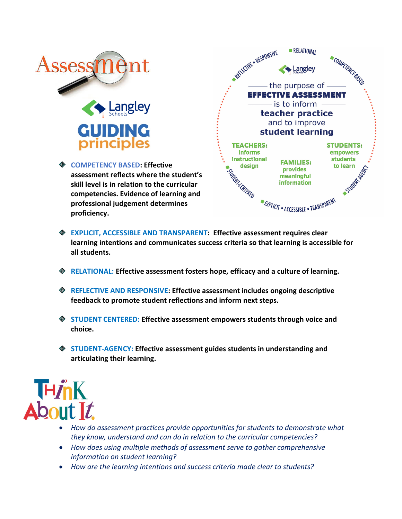

**COMPETENCY BASED: Effective assessment reflects where the student's skill level is in relation to the curricular competencies. Evidence of learning and professional judgement determines proficiency.**



- **EXPLICIT, ACCESSIBLE AND TRANSPARENT: Effective assessment requires clear learning intentions and communicates success criteria so that learning is accessible for all students.**
- **RELATIONAL: Effective assessment fosters hope, efficacy and a culture of learning.**
- **REFLECTIVE AND RESPONSIVE: Effective assessment includes ongoing descriptive feedback to promote student reflections and inform next steps.**
- **STUDENT CENTERED: Effective assessment empowers students through voice and choice.**
- **STUDENT-AGENCY: Effective assessment guides students in understanding and articulating their learning.**



- *How do assessment practices provide opportunities for students to demonstrate what they know, understand and can do in relation to the curricular competencies?*
- *How does using multiple methods of assessment serve to gather comprehensive information on student learning?*
- *How are the learning intentions and success criteria made clear to students?*